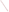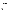### **OVERVIEW SECTION**

### **AGENCY:** ENVIRONMENTAL PROTECTION AGENCY (EPA)

**TITLE:** "COMBINED EXPERIMENTAL AND NUMERICAL INVESTIGATIONS OF ADVANCED ENGINE CLEANER COMBUSTION SYSTEM, FOR REDUCING EMISSIONS AND IMPROVING FUEL EFFICIENCY IN VEHICLES"

**ACTION:** Request for Applications (RFA) - Initial Announcement.

**RFA NO:** OAR-ATD-05-05

### **CATALOG OF FEDERAL DOMESTIC ASSISTANCE (CFDA) NO:** 66.034

**DATES:** The closing date and time for receipt of Applications is May 12, 2005, 4:00 EDT. All applications, however transmitted, must be received in the Program Office by the closing date and time to receive consideration.

To allow for efficient management of the competitive process, EPA requests eligible organizations submit an informal notice of "Intent to Apply" by April 28, 2005. Submission of an Intent to Apply is optional; it is a process management tool that will allow EPA to better anticipate the total staff time required for efficient review, evaluation, and selection of submitted proposals.

**SUMMARY:** This notice announces the availability of funds and solicits proposals from eligible entities utilizing state-of-the-art experimental techniques and numerical simulations in advanced engine technology development. This effort is part of the Clean Automotive Technology program, to develop advanced engine technologies that not only meets today's Clean Air standards, but also establishes the building block for future environmental and economic benefits. This exciting program encourages the commercialization of promising technologies by actively pursuing the transfer of EPA's technologies into the private sector. EPA partners with industry to maximize the viability of targeted technologies for commercial production through cooperative research and development agreements (CRADAs).

**FUNDING/AWARDS:** The total estimated funding for this competitive opportunity shall not exceed \$800,000. In FY 2005, total funding shall not exceed \$200,000. EPA anticipates award of one cooperative agreement, whose annual value shall not exceed \$200,000, resulting from this competitive opportunity. The cooperative agreement will be funded incrementally. Additional funds may be added in each subsequent year of the agreement, subject to satisfactory performance and the availability of funds.

# **CONTENTS BY SECTION**

- I. Funding Opportunity Description
- II. Award Information
- III. Eligibility Information
- IV. Application and Submission Information
- V. Application Review Information
- VI. Award Administration Information
- VII. Agency Contacts
- VIII. Other Information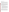#### **Section I - Funding Opportunity Description.**

#### **A. Background.**

New technologies are required in many fields of engine development to meet societal expectations, such as preservation of the global environment and effective utilization of natural resources, in the 21st century. For this reason, the future engine must be cleaner and more fuel efficient than existing engines. Although alternatives to the internal combustion engine continue to be proposed, it will remain as the mainstream power plant for the next decade or longer. This suggests that the engine technology needs to be reviewed from the basics, including fundamental structure and thermodynamics to achieve energy, environmental and economic benefits.

This project relates to EPA's involvement with the Clean Automotive Technology Program applicable to vehicles with high-efficiency hybrid systems. The program includes short-term goals such as improved manufacturing capabilities, compliance with future emissions, fuel economy, and safety regulations. The most visionary goal, however, is to develop and evaluate advanced engines as power plants for future concept vehicles with greater fuel efficiency than today's vehicles, while meeting or exceeding current emission standards. EPA's National Vehicle and Fuel Emissions Laboratory (NVFEL) in Ann Arbor, Michigan, has limited capability to investigate, design, fabricate, and analyze the feasibility of new advanced engine components to achieve the program goals. This project supports encouragement of basic and applied research in engine technologies that could make significant contribution to the field of engine development extremely dynamic and challenging.

#### **B. EPA Strategic Plan Linkage and Anticipated Outcomes/Outputs.**

- 1. *Linkage to EPA Strategic Plan.* This project supports progress towards EPA Strategic Plan Goal 1 (Clean Air and Global Climate Change), Objective 1.6 (Enhance Science and Research), Sub-Objective 1.6.2 (Conduct Air Pollution Research, Technology Development and Assessment). This project supports EPA efforts to develop advanced clean and fuel-efficient technology for a wide range of societal benefits including reducing our national dependence on imported oil, conserving capital for domestic economy and reducing carbon dioxide and greenhouse gas emissions.
- 2. *Outcomes.* Through this project EPA anticipates increasing internal combustion fuel efficiency and reducing exhaust emissions, mainly particulate matter and NOx to meet Tier II Clean Air Act (CAA), to continue building and improving engine technology to meet upcoming CAA standards.
- 3. *Outputs.* The anticipated output for this project is development of new data on in-cylinder air motion and fuel air mixing necessary to achieve a clean and efficient combustion process which is the basis to lower engine emissions and improve engine fuel efficiency.

#### **C. Project Overview.**

Under this competitive opportunity, EPA will support proposals to investigate advanced engine combustion technology, where the exothermic transformation of energy takes place in a turbulent flow field. Understanding the combustion process is essential to reaching the goal of clean and complete combustion. The investigation will consider the effect of the bowl-in-piston geometry on fuel-air mixing and combustion in direct injection engines. Additionally, the influence of in-cylinder fuel spray, fuel injection timing and duration, fuel nozzle geometry, ignition timing for best performance, and intake and exhaust ports shape on the combustion process will be investigated. The technology that will be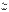investigated as part of this effort will be of benefit to directly injected engines that use hydrocarbon fuels. In particular, stratified charge gasoline, homogenous charge compression ignition, and clean diesel engines may benefit by the development of technologies that allow a good evaluation of mixture formation and combustion.

The in-cylinder mixture preparation in direct injection engines is determined by the injection system, the combustion chamber shape, and the flow field of the compressed air. The bulk motion and the local turbulent structure within the flow field are very complicated. It is known that small direct injection engines require swirl. This is usually accomplished by designing intake ports that impart the swirling motion to inducted air into the cylinder. The performance of the direct injection engine is strongly dependent on the bowl-in-piston shape. Especially in diesel engines where there is a strong interaction of mixture formation and combustion since both processes occur simultaneously. The most important phenomena are the fuel spray liquid core atomization, collision and secondary break-up of fuel droplets, their momentum, energy and mass exchange with gas phase and the droplet-wall-interaction. Experimental efforts have investigated the effects of combustion chamber shape on the combustion process. The results of these studies showed that the combustion chamber design significantly influences the combustion process. However, because not all of the important parameters that affect combustion could be measured, it was difficult to interpret the results. Hence, numerical simulations in engines are becoming more accepted as an adjunct in investigating the design of engines

EPA seeks to support demonstration projects, ranging up to \$800,000 depending upon the project proposal and other assistance, to further develop the internal combustion engine technology. EPA encourages applicants to explore innovative approaches for engine development to enhance the execution of the exothermic process of combustion in the engine cylinder. A controlled execution of the combustion process in the engine is, in effect, non-existent.

Demonstration projects should provide systematic procedure for engine development, which includes thermodynamic and thermochemical analysis combined with in cylinder treatment of the turbulent flow field. Advanced engine combustion technology has the potential to achieve these targets, particularly clean diesel combustion, homogeneous charge compression ignition, emissions and noise reduction, and; to expand education and training opportunities at research facilities. An important aspect of the evaluation of proposals will be an assessment of the technique, innovative technology, and their potential effectiveness to improve fuel economy and reduce emissions.

#### **D. Scope of Work.**

EPA is soliciting proposals from eligible entities to work on engine developments for the 21st century transportation system. Proposal planning activities must address and identify new technologies and analysis to obtain significant fuel economy advantage, and reduction in engine emissions and noise to meet future emissions and environmental standards. Project activities will involve characterizing in-cylinder flow, mixture formation, fuel spray dynamics and subsequent combustion events, by using advanced measurements technologies and computational tools. Controlling mixture formation and combustion by means of advanced direct fuel injection systems and engine design could lead to breakthrough technology that will meet the clean air goals. The important elements of controlled combustion are a short exothermic reaction process and minimum contact with walls during exothermic reactions. For example, if the wall heat loss is reduced by a small factor the benefits of the fuel economy and emissions would be significant. Based on this, we need to focus our efforts to make engines more energy efficient and much less polluting.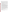EPA encourages technological innovation in engines which is directed to obtain significant fuel economy advantage and reduction in emissions. EPA is particularly interested in seeing proposals which address the following elements: *(Strong proposals that contain elements other than those listed below will be considered.)*

- 1. **Experimental work.** In-cylinder flow, fuel-air mixture formation, and combustion will be visualized and characterized by using advanced laser based techniques. This will require mapping the flow field during the engine cycle and quantifying the variability of the flow motion. By controlling both the flow motion and its variability, a more favorable initial condition for combustion can be obtained, thus increasing the efficiency of the combustion process. Also, in-cylinder pressure traces will be required at different engine speeds and loads.
- 2. **Firing Engine.** A modular single cylinder engine assembly with full optical access is required to test several new concept combustion systems. This will provide a means for evaluating the influence that different combustion chamber configurations have on engine performance and emissions as well as investigation of the combustion process through the use of in-cylinder pressure diagnostics. The proposal should demonstrate the capability and expertise to design and build full a range of engine configurations and components for the demonstration project.
- 3. **Multidimensional modeling of in-cylinder flow and combustion process.** In this effort, fuel-air mixing and combustion process will be simulated in a stratified charge gasoline, homogenous charge compression ignition, and clean diesel engines to provide insightful data on in-cylinder flow motion and its interaction with the fuel spray dynamics, and the subsequent combustion events. Simulation of several engine combustion chamber shapes, intake manifolds, valve arrangements, and fuel injection systems will be considered in this effort. Commercially available codes could be used for in-cylinder flow, mixture formation and combustion studies; however particular emphasis must be focused on the accuracy of results including mesh generation and adaptive meshing technique to adapt to the nature of the physical problem that is being simulated. Also, grid independence is to be verified by using grid refinement and error estimation. Numerical results will be compared with the experimental results for validation under same engine speed and boundary conditions.
- 4. **Combustion Analysis.** To improve fuel efficiency of internal combustion engine is to study the behaviors in which fuel is consumed and make modifications in the combustion process based on this analysis. Evaluation of the combustion process can be challenging however, new innovative methods could enable better understanding of the phenomena taking place inside the engine cylinder at the start and during combustion process. What takes place in the combustion chamber is exothermic chemical reactions occurring within a turbulent flow field. It may, therefore, be possible to refine the execution of the combustion process by controlling this field.
- 5. **Participation.** Participants from the recipient organization will be required to spend a portion of their time at EPA's National Vehicle and Fuel Emissions Laboratory.

### **E. Supplementary Information.**

The statutory authority for this action is Clean Air Act, Section 103(b)(3) which authorizes the award of grants for research, investigations, experiments, demonstrations, surveys, and studies related to the causes, effect, extent, prevention and control of air pollution.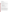### **Section II - Award Information.**

### **A. What is the amount of funding available?**

The total estimated funding for this competitive opportunity shall not exceed \$800,000. In FY 2005, total funding shall not exceed \$200,000.00.

### **B. How many agreements will EPA award in this competition?**

EPA anticipates award of one cooperative agreement, whose annual value shall not exceed \$200,000, resulting from this competitive opportunity.

Cooperative agreements permit substantial involvement between the EPA Project Officer and the selected applicants in the performance of the work supported. Although EPA will negotiate precise terms and conditions relating to substantial involvement as part of the award process, the anticipated substantial Federal involvement for this project will be:

- 1. close monitoring of the successful applicant's performance to verify the results proposed by the applicant;
- 2. collaboration during performance of the scope of work;
- 3. monthly technical discussions to determine if the best direction and sources of information on the latest efficient technologies are being utilized;
- 4. approving substantive terms of proposed contracts;
- 5. approving qualifications of key personnel (EPA will not select employees or contractors employed by the award recipient);
- 6. review and comment on reports prepared under the cooperative agreement (the final decision on the content of reports rests with the recipient);

#### **C. What is the project period for awards resulting from this solicitation?**

The estimated project period for awards resulting from this solicitation is August 31, 2005 through August 30, 2009. All projects must be completed within the negotiated project performance period of one to four years.

### **D. Can funding be used to acquire services or fund partnerships?**

Funding may be used to acquire services or fund partnerships, provided the recipient follows procurement and subaward or subgrant procedures contained in 4[0 CFR P](http://www.gpoaccess.gov/cfr/retrieve.html)arts 30 or 31, as applicable. Successful applicants must compete contracts for services and products and conduct cost and price analyses to the extent required by these regulations. The regulations also contain limitations on consultant compensation. Applicants are not required to identify contractors or consultants in their proposal. Moreover, the fact that a successful applicant has named a specific contractor or consultant in the proposal EPA approves does not relieve it of its obligations to comply with competitive procurement requirements.

Subgrants or subawards may be used to fund partnerships with non profit organizations and governmental entities. Successful applicants cannot use subgrants or subawards to avoid requirements in EPA grant regulations for competitive procurement by using these instruments to acquire commercial services or products to carry out its cooperative agreement. For profit organizations are not eligible subgrant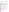recipients under this announcement. The nature of the transaction between the recipient and the subgrantee must be consistent with the standards for distinguishing between vendor transactions and subrecipient assistance under Subpart B Section .210 o[f OMB Circular A-133,](http://www.whitehouse.gov/omb/circulars/a133/a133.html) and the definitions of "subaward" at 40 CFR 30.2(ff) or "subgrant" at 40 CFR 31.3, as applicable. EPA will not be a party to these transactions.

# **Section III - Eligibility Information.**

# **A. Eligible Entities.**

Proposals will be accepted from states, territories, Indian Tribes, and possessions of the U.S., including the District of Columbia, international organizations, public and private universities and colleges, hospitals, laboratories, other public or private nonprofit institutions, as defined by [OMB Circular A-110](http://www.whitehouse.gov/omb/circulars/a110/a110.html) and [OMB Circular A-122.](http://www.whitehouse.gov/omb/circulars/a122/a122.html)

Non-profit organization, as defined by OMB Circular A-122, means any corporation, trust, association, cooperative, or other organization which: (1) is operated primarily for scientific, educational, service, charitable, or similar purposes in the public interest; (2) is not organized primarily for profit; and (3) uses its net proceeds to maintain, improve, and/or expand its operations. For this purpose, the term "non-profit organization" excludes (i) colleges and universities; (ii) hospitals; (iii) state, local, and federally-recognized Indian tribal governments; and (iv) those non-profit organizations which are excluded from coverage of this Circular in accordance with paragraph 5 of the Circular.

Non-profit organizations described in Section  $501(c)(4)$  of the Internal Revenue Code that engage in lobbying activities as defined in Section 3 of the Lobbying Disclosure Act of 1995 are not eligible to apply.

# **B. Cost-Sharing or Matching.**

Although cost-sharing or matching is not required, as a condition of eligibility, or otherwise, for proposals selected for award, applicants proposing a voluntary financial or in-kind commitment of resources will improve their scoring under the "Resources" evaluation criterion of this solicitation. *(Refer to Section V(A), Evaluation Criteria.)*

Voluntary contributions of funds and/or in kind contributions of resources, if accepted by EPA, will be treated as cost shares under 40 CFR 30.24. Applicants must propose eligible and allowable in kind contributions of resources to qualify for an improved score under this criterion.

### **Section IV - Application and Submission Information.**

# **A. How to Obtain Application Package.**

Applicants may download individual grant application forms, or electronically request a paper application package and an accompanying computer CD of information related to applicants/grant recipients roles and responsibilities from EPA's Grants and Debarment website by visiting: [http://www.epa.gov/ogd/grants/how\\_to\\_apply.htm.](http://www.epa.gov/ogd/grants/how_to_apply.htm)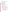### **B. Content and Form of Application Submission.**

Applications must contain a narrative proposal, and one completed and signed federal grant application package. The narrative proposal must explicitly describe the applicant's proposed project and specifically address each of the evaluation criteria disclosed in *Section V(A), Evaluation Criteria*.

- 1. A complete application must contain the following, in the sequential order shown:
	- a. SF-424 Application for Federal Assistance, with original signature.
	- b. Narrative Statement, in the format detailed below.
	- c. Other supporting documentation.
	- d. SF-424 A, Budget by categories and indirect cost rate.
	- e. SF-424 B, Assurances for non-construction programs.
	- f. Certification Regarding Lobbying and SF LLL, if applicable.
	- g. EPA Form 4700-4 Preaward Compliance review report.
	- h. Quality Assurance Narrative Statement, if applicable.
	- i. Copy of Negotiated Indirect Cost Rate Agreement, if applicable.
	- j. Biographical Sketch.
	- k. E-mail address or self-addressed envelope (to receive notification of receipt of application).
- 2. The narrative proposal should conform to the following outline:
	- a. Cover Letter: Describe your organization's qualifications for the project; must be signed by an official with the authority to commit your organization to the project; and written on your organization's official letterhead.
	- b. Summary Information Page.
		- 1. Project Title.
		- 2. Applicant Information. Include applicant (organization) name, address, contact person, phone number, fax and e-mail address.
		- 3. Funding Requested. Specify the amount you are requesting from EPA.
	- c. Project Description. The project description must provide a concise overview of how the applicant will implement and conduct its operation and include a Project Work Plan (including a description of all tasks, dates of completion, products and deliverables, and proposed budget).

The narrative workplan must discuss how the proposal addresses each of the selection criteria in Section V and include:

- 1. A detailed project summary, describing specific actions and methods to be undertaken and the responsible institutions, including estimated time line for each task;
- 2. The associated work products to be developed (e.g. partnership agreements, if any);
- 3. An explanation of project benefits to the public;
- 4. An explanation of how project outcomes (e.g., fuel economy and emissions benefits) will be designed for reinvestment;
- 5. A detailed explanation of how project success will be evaluated; *(Refer to Section V(A), Evaluation Criteria, "Performance Measurement.")*
- 6. A description of the roles of the applicant and partners, if any; and
- 7. Biographical information on key personnel identified.
- d. Detailed Itemized Budget. The proposal must include a detailed budget which clearly explains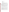how funds will be used for the following categories:

- 1. Personnel
- 2. Fringe Benefits
- 3. Contractual Costs
- 4. Travel
- 5. Equipment
- 6. Supplies
- 7. Other (including intern stipends)
- 8. Total Indirect Costs (must include documentation of accepted indirect rate)
- 9. Total Cost

If not self-evident, entries under each category must be explained in the budget itself or in the project description. Costs proposed in the budget should be linked directly to the proposal.

e. Key Personnel. The applicant should submit an appendix with the resumes of up to three (3) key personnel who will be significantly involved in the project.

Applicants are strongly advised to avoid submission of non-essential materials unrelated to the proposal's requirements. Upon receipt, applications will be reviewed for content. Applications which do not conform to the specific outline and content detailed above may not be considered for award. **Incomplete applications will not be considered for award.** All application materials must be completed in English. **C. Submission Dates and Times.**

1. To allow for efficient management of the competitive process, EPA requests eligible entities submit an informal notice of "Intent to Apply" by April 28, 2005, to the agency contact identified under *Section VII, Agency Contact.* Submission of an Intent to Apply is optional; it is a process management tool that will allow EPA to better anticipate the total staff time required for efficient review, evaluation, and selection of submitted proposals. Eligible entities not submitting an "Intent to Apply" are still eligible to apply by the closing date and time.

The written notice of "Intent to Apply" may be submitted via electronic mail. Please provide the name of your organization, a point of contact, phone number, email address, and the title of your project.

- 2. The closing date and time for submission of completed application packages is May 12, 2005, 4:00 p.m. EDT. All applications, however transmitted, must be received in the Program Office by the closing date and time to receive consideration. Applications received after the closing date and time will not be considered for funding.
- 3. **Confidential Business Information.** In accordance with 40 CFR 2.203, applicants may claim all or a portion of their application/proposal as confidential business information. EPA will evaluate confidentiality claims in accordance with 40 CFR Part 2. Applicants must clearly mark applications/proposals or portions of applications/proposals they claim as confidential. If no claim of confidentiality is made, EPA is not required to make the inquiry to the applicant otherwise required by 40 CFR  $2.204(c)(2)$  prior to disclosure.
- 4. Because of the unique situation involving U.S. mail screening. EPA highly recommends that applicants use an express mail option to submit their applications. The application must be addressed to: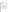Express Delivery Address (FedEx, UPS, DHL, etc.) or U.S. Postal Service U.S. EPA Attn: Fakhri Hamady, (ATD) 2565 Plymouth Road Ann Arbor, MI 48105

# **Section V - Application Review Information.**

# **A. Evaluation Criteria.**

Each eligible proposal, based on Section III, Eligibility Information, will be evaluated according to the criteria set forth below. Proposals that are best able to directly and explicitly address the evaluation criteria below will have a greater likelihood of being selected for award. Each proposal will be rated under a points system, with a total of 100 points possible.

| <b>Criterion</b>                                                                                                                                                                                                                                                                                                                                                                                                                                                                                                                                                                                                                                                                                                                                                                                                                                                                                                                                                                                                                                                                                                                                                                                                                                                                                                                                                                                                                                                                                                                                                  | <b>Maximum</b><br>Points per<br><b>Criterion</b> |
|-------------------------------------------------------------------------------------------------------------------------------------------------------------------------------------------------------------------------------------------------------------------------------------------------------------------------------------------------------------------------------------------------------------------------------------------------------------------------------------------------------------------------------------------------------------------------------------------------------------------------------------------------------------------------------------------------------------------------------------------------------------------------------------------------------------------------------------------------------------------------------------------------------------------------------------------------------------------------------------------------------------------------------------------------------------------------------------------------------------------------------------------------------------------------------------------------------------------------------------------------------------------------------------------------------------------------------------------------------------------------------------------------------------------------------------------------------------------------------------------------------------------------------------------------------------------|--------------------------------------------------|
| <b>Project Description.</b> Extent to which the proposal advances the understanding of the<br>exothermic combustion process in engines, improves the control of the combustion,<br>and enhances in-cylinder fuel air distribution. Consideration under this criterion will<br>focus on:<br>Significance. Applicants proposal should demonstrate the significant advances<br>$\bullet$<br>and impact on engine technology developments, environmental benefits, and<br>effective utilization of natural resources.<br>Approach. Applicants proposal should demonstrate the analytical, engineering,<br>$\bullet$<br>and scientific approaches and methods adequately developed, and well integrated<br>to the aims of the project. The applicants should demonstrate well-planned and<br>documented evidence of achieving the research goals, and disseminate the<br>technology developed.<br>Innovation. Applicants proposal should discuss new approaches, explore new<br>$\bullet$<br>research paradigms, or represent new concepts that combine engineering and<br>sciences. New approaches or concepts that could solve current scientific or<br>technical problems in novel way.<br>Environment. Applicants proposal should demonstrate that the scientific and<br>$\bullet$<br>technological environment in which the work will be done contribute to the<br>probability of success. And, the proposed work takes advantage of the unique<br>features of the scientific environment or employs useful collaborative<br>arrangements within the partnership. | 50                                               |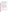| <b>Experience:</b><br>1. Extent to which the proposal demonstrates applicant's expertise and experience in<br>managing similar programs; and, how administration of the proposed project will<br>further the recipient's mission.<br>Investigators. Applicant's proposal demonstrates that the principal investigator is<br>2.<br>capable of coordinating and managing effectively the proposed work and partners.<br>Experience of key personnel. Extent to which the experience of key personnel,<br>3.<br>described in detail, is related to the project proposed and demonstrates a level of<br>expertise or proficiency. EPA will review biographical sketches to determine if<br>staff experience is commensurate with activities proposed. Applicants must<br>designate a primary contact, who will be responsible for the implementation of the<br>cooperative agreement and serve as a liaison with EPA staff                                                                                                                                                                                                                                               | 25 |
|----------------------------------------------------------------------------------------------------------------------------------------------------------------------------------------------------------------------------------------------------------------------------------------------------------------------------------------------------------------------------------------------------------------------------------------------------------------------------------------------------------------------------------------------------------------------------------------------------------------------------------------------------------------------------------------------------------------------------------------------------------------------------------------------------------------------------------------------------------------------------------------------------------------------------------------------------------------------------------------------------------------------------------------------------------------------------------------------------------------------------------------------------------------------|----|
| <b>Resources:</b><br>Is the budget clearly stated, detailed, and appropriate to achieve the project's<br>1.<br>objectives?<br>Does applicant propose other sources of funding for the project (including use of<br>2.<br>in-kind goods and services)?<br>Have resources been committed by other project stakeholders?<br>3 <sub>1</sub><br>The proposal demonstrates (i) how the applicant will coordinate the use of EPA<br>4.<br>funding with other Federal and/or non Federal sources of funds to leverage<br>additional resources to carry out the proposed project(s) and/or (ii) that EPA<br>funding will compliment activities relevant to the proposed project(s) carried out<br>by the applicant with other sources of funds or resources. Applicants may use<br>their own funds or other resources for a voluntary match or cost share if the<br>standards at 40 CFR 30.23 or 40 CFR 31.24, as applicable, are met. Only eligible<br>and allowable costs may be used for matches or cost shares. Other Federal grants<br>may not be used as matches or cost shares without specific statutory authority (e.g.<br>HUD's Community Development Block Grants. | 15 |
| Performance Measurement. Applicant's proposal includes an effective method for<br>measuring progress towards development of new data on in-cylinder air motion and<br>fuel air mixing necessary to achieve a clean and efficient combustion process which is<br>the basis to lower engine emissions and improve engine fuel efficiency.                                                                                                                                                                                                                                                                                                                                                                                                                                                                                                                                                                                                                                                                                                                                                                                                                              | 10 |

# **B. Other Factors.**

EPA reserves the right to make award decisions based on factors that help ensure geographic equity and demonstration of a variety of technical approaches.

# **C. Review and Selection Process.**

Each application will be evaluated by a team chosen to address the range of activities associated with engine technology developments and air quality matters. The Evaluation Team will base its evaluation solely on the selection criteria disclosed in this notice *(see Section V(A), Evaluation Criteria)*.

Completed evaluations will be referred to a Selection Committee that is responsible for further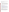consideration and final selection. The highest numerically-ranked proposal(s) (subject to the quality of proposals, availability of funds, and consideration of *Section V(B), Other Factors*) will be recommended for award.

# **Section VI - Award Administration Information.**

### **A. Award Notices.**

Following final selections, all applicants will be notified regarding their application's status.

- 1. EPA anticipates notification to *successful* applicant(s) will be made via telephone, electronic or postal mail by June 19, 2005. This notification, which advises that the applicant's proposal has been selected and is being recommended for award, is not an authorization to begin performance. The award notice signed by the EPA grants officer is the authorizing document and will be provided through postal mail. At a minimum, this process can take up to 90 days from the date of selection.
- 2. EPA anticipates notification to *unsuccessful* applicant(s) will be made via electronic or postal mail by June 19, 2005. In either event, the notification will be sent to the original signer of the application.

# **B. Administrative and National Policy Requirements.**

- 1. A listing and description of general EPA Regulations applicable to the award of assistance agreements may be viewed at: http://www.epa.gov/ogd/AppKit/applicable epa\_regulations\_and\_description.htm.
- 2. Executive Order 12372, Intergovernmental Review of Federal Programs may be applicable to awards, resulting from this announcement. Applicants *selected* for funding may be required to provide a copy of their proposal to their [State Point of Contact \(](http://www.whitehouse.gov/omb/grants/spoc.html)SPOC) for review, pursuant to Executive Order 12372, Intergovernmental Review of Federal Programs. This review is not required with the Initial Proposal and not all states require such a review.
- 3. All applicants are required to provide a Dun and Bradstreet (D&B) Data Universal Numbering System (DUNS) number when applying for a Federal grant or cooperative agreement. Applicants can receive a DUNS number, at no cost, by calling the dedicated toll-free DUNS Number request line at 1-866-705-5711, or visiting the D&B website at: [http://www.dnb.com.](http://www.dnb.com)

### **C. Reporting Requirement.**

The recipient agrees to submit quarterly progress reports to the EPA Project Officer within thirty days after each reporting period. These reports shall cover work status, work progress, difficulties encountered, preliminary data results and a statement of activity anticipated during the subsequent reporting period, including a description of equipment, techniques, and materials to be used or evaluated. A discussion of expenditures along with a comparison of the percentage of the project completed to the project schedule and an explanation of significant discrepancies shall be included in the report. The report shall also include any changes of key personnel concerned with the project.